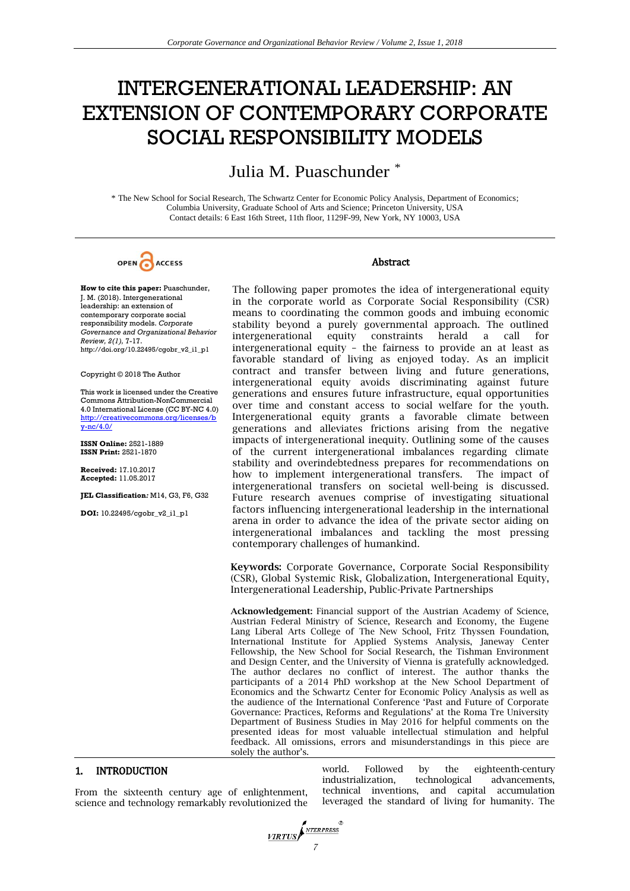# INTERGENERATIONAL LEADERSHIP: AN EXTENSION OF CONTEMPORARY CORPORATE SOCIAL RESPONSIBILITY MODELS

# Julia M. Puaschunder \*

\* The New School for Social Research, The Schwartz Center for Economic Policy Analysis, Department of Economics; Columbia University, Graduate School of Arts and Science; Princeton University, USA Contact details: 6 East 16th Street, 11th floor, 1129F-99, New York, NY 10003, USA

 $\overline{\phantom{a}}$ 



**How to cite this paper:** Puaschunder, J. M. (2018). Intergenerational leadership: an extension of contemporary corporate social responsibility models. *Corporate Governance and Organizational Behavior Review, 2(1),* 7-17. http://doi.org/10.22495/cgobr\_v2\_i1\_p1

Copyright © 2018 The Author

This work is licensed under the Creative Commons Attribution-NonCommercial 4.0 International License (CC BY-NC 4.0) [http://creativecommons.org/licenses/b](http://creativecommons.org/licenses/by-nc/4.0/) [y-nc/4.0/](http://creativecommons.org/licenses/by-nc/4.0/)

**ISSN Online:** 2521-1889 **ISSN Print:** 2521-1870

**Received:** 17.10.2017 **Accepted:** 11.05.2017

**JEL Classification***:* M14, G3, F6, G32

**DOI:** 10.22495/cgobr\_v2\_i1\_p1

#### Abstract

The following paper promotes the idea of intergenerational equity in the corporate world as Corporate Social Responsibility (CSR) means to coordinating the common goods and imbuing economic stability beyond a purely governmental approach. The outlined intergenerational equity constraints herald a call for intergenerational equity – the fairness to provide an at least as favorable standard of living as enjoyed today. As an implicit contract and transfer between living and future generations, intergenerational equity avoids discriminating against future generations and ensures future infrastructure, equal opportunities over time and constant access to social welfare for the youth. Intergenerational equity grants a favorable climate between generations and alleviates frictions arising from the negative impacts of intergenerational inequity. Outlining some of the causes of the current intergenerational imbalances regarding climate stability and overindebtedness prepares for recommendations on how to implement intergenerational transfers. The impact of intergenerational transfers on societal well-being is discussed. Future research avenues comprise of investigating situational factors influencing intergenerational leadership in the international arena in order to advance the idea of the private sector aiding on intergenerational imbalances and tackling the most pressing contemporary challenges of humankind.

Keywords: Corporate Governance, Corporate Social Responsibility (CSR), Global Systemic Risk, Globalization, Intergenerational Equity, Intergenerational Leadership, Public-Private Partnerships

Acknowledgement: Financial support of the Austrian Academy of Science, Austrian Federal Ministry of Science, Research and Economy, the Eugene Lang Liberal Arts College of The New School, Fritz Thyssen Foundation, International Institute for Applied Systems Analysis, Janeway Center Fellowship, the New School for Social Research, the Tishman Environment and Design Center, and the University of Vienna is gratefully acknowledged. The author declares no conflict of interest. The author thanks the participants of a 2014 PhD workshop at the New School Department of Economics and the Schwartz Center for Economic Policy Analysis as well as the audience of the International Conference 'Past and Future of Corporate Governance: Practices, Reforms and Regulations' at the Roma Tre University Department of Business Studies in May 2016 for helpful comments on the presented ideas for most valuable intellectual stimulation and helpful feedback. All omissions, errors and misunderstandings in this piece are solely the author's.

## 1. INTRODUCTION

From the sixteenth century age of enlightenment, science and technology remarkably revolutionized the world. Followed by the eighteenth-century industrialization, technological advancements, technical inventions, and capital accumulation leveraged the standard of living for humanity. The

*YIRTUS*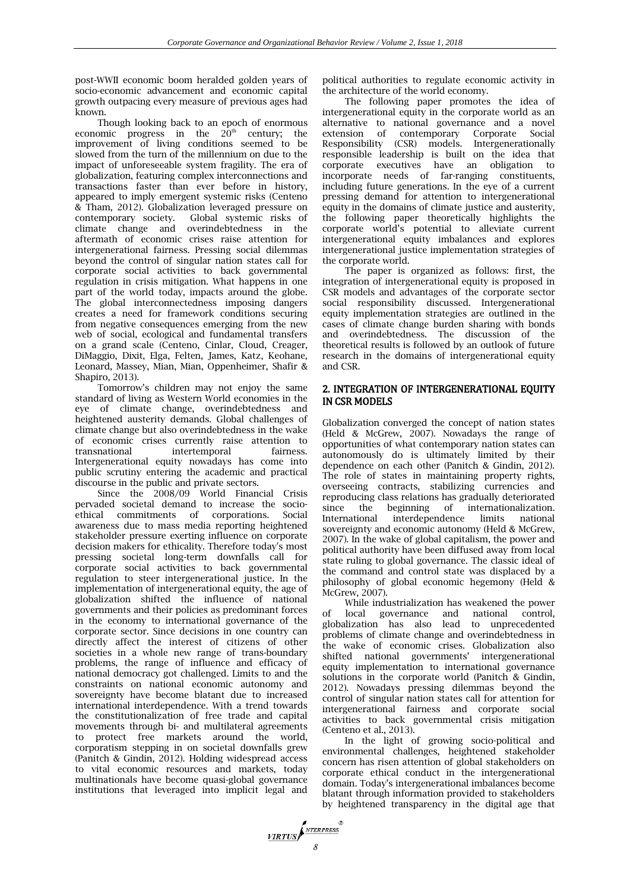post-WWII economic boom heralded golden years of socio-economic advancement and economic capital growth outpacing every measure of previous ages had known.

Though looking back to an epoch of enormous economic progress in the  $20<sup>th</sup>$  century; the improvement of living conditions seemed to be slowed from the turn of the millennium on due to the impact of unforeseeable system fragility. The era of globalization, featuring complex interconnections and transactions faster than ever before in history, appeared to imply emergent systemic risks (Centeno & Tham, 2012). Globalization leveraged pressure on Global systemic risks of climate change and overindebtedness in the aftermath of economic crises raise attention for intergenerational fairness. Pressing social dilemmas beyond the control of singular nation states call for corporate social activities to back governmental regulation in crisis mitigation. What happens in one part of the world today, impacts around the globe. The global interconnectedness imposing dangers creates a need for framework conditions securing from negative consequences emerging from the new web of social, ecological and fundamental transfers on a grand scale (Centeno, Cinlar, Cloud, Creager, DiMaggio, Dixit, Elga, Felten, James, Katz, Keohane, Leonard, Massey, Mian, Mian, Oppenheimer, Shafir & Shapiro, 2013).

Tomorrow's children may not enjoy the same standard of living as Western World economies in the eye of climate change, overindebtedness and heightened austerity demands. Global challenges of climate change but also overindebtedness in the wake of economic crises currently raise attention to transnational intertemporal fairness. Intergenerational equity nowadays has come into public scrutiny entering the academic and practical discourse in the public and private sectors.

Since the 2008/09 World Financial Crisis pervaded societal demand to increase the socioethical commitments of corporations. Social awareness due to mass media reporting heightened stakeholder pressure exerting influence on corporate decision makers for ethicality. Therefore today's most pressing societal long-term downfalls call for corporate social activities to back governmental regulation to steer intergenerational justice. In the implementation of intergenerational equity, the age of globalization shifted the influence of national governments and their policies as predominant forces in the economy to international governance of the corporate sector. Since decisions in one country can directly affect the interest of citizens of other societies in a whole new range of trans-boundary problems, the range of influence and efficacy of national democracy got challenged. Limits to and the constraints on national economic autonomy and sovereignty have become blatant due to increased international interdependence. With a trend towards the constitutionalization of free trade and capital movements through bi- and multilateral agreements to protect free markets around the world, corporatism stepping in on societal downfalls grew (Panitch & Gindin, 2012). Holding widespread access to vital economic resources and markets, today multinationals have become quasi-global governance institutions that leveraged into implicit legal and

political authorities to regulate economic activity in the architecture of the world economy.

The following paper promotes the idea of intergenerational equity in the corporate world as an alternative to national governance and a novel extension of contemporary Corporate Responsibility (CSR) models. Intergenerationally responsible leadership is built on the idea that corporate executives have an obligation to incorporate needs of far-ranging constituents, including future generations. In the eye of a current pressing demand for attention to intergenerational equity in the domains of climate justice and austerity, the following paper theoretically highlights the corporate world's potential to alleviate current intergenerational equity imbalances and explores intergenerational justice implementation strategies of the corporate world.

The paper is organized as follows: first, the integration of intergenerational equity is proposed in CSR models and advantages of the corporate sector social responsibility discussed. Intergenerational equity implementation strategies are outlined in the cases of climate change burden sharing with bonds and overindebtedness. The discussion of the theoretical results is followed by an outlook of future research in the domains of intergenerational equity and CSR.

#### 2. INTEGRATION OF INTERGENERATIONAL EQUITY IN CSR MODELS

Globalization converged the concept of nation states (Held & McGrew, 2007). Nowadays the range of opportunities of what contemporary nation states can autonomously do is ultimately limited by their dependence on each other (Panitch & Gindin, 2012). The role of states in maintaining property rights, overseeing contracts, stabilizing currencies and reproducing class relations has gradually deteriorated since the beginning of internationalization. International interdependence limits national sovereignty and economic autonomy (Held & McGrew, 2007). In the wake of global capitalism, the power and political authority have been diffused away from local state ruling to global governance. The classic ideal of the command and control state was displaced by a philosophy of global economic hegemony (Held & McGrew, 2007).

While industrialization has weakened the power of local governance and national control, globalization has also lead problems of climate change and overindebtedness in the wake of economic crises. Globalization also shifted national governments' intergenerational equity implementation to international governance solutions in the corporate world (Panitch & Gindin, 2012). Nowadays pressing dilemmas beyond the control of singular nation states call for attention for intergenerational fairness and corporate social activities to back governmental crisis mitigation (Centeno et al., 2013).

In the light of growing socio-political and environmental challenges, heightened stakeholder concern has risen attention of global stakeholders on corporate ethical conduct in the intergenerational domain. Today's intergenerational imbalances become blatant through information provided to stakeholders by heightened transparency in the digital age that

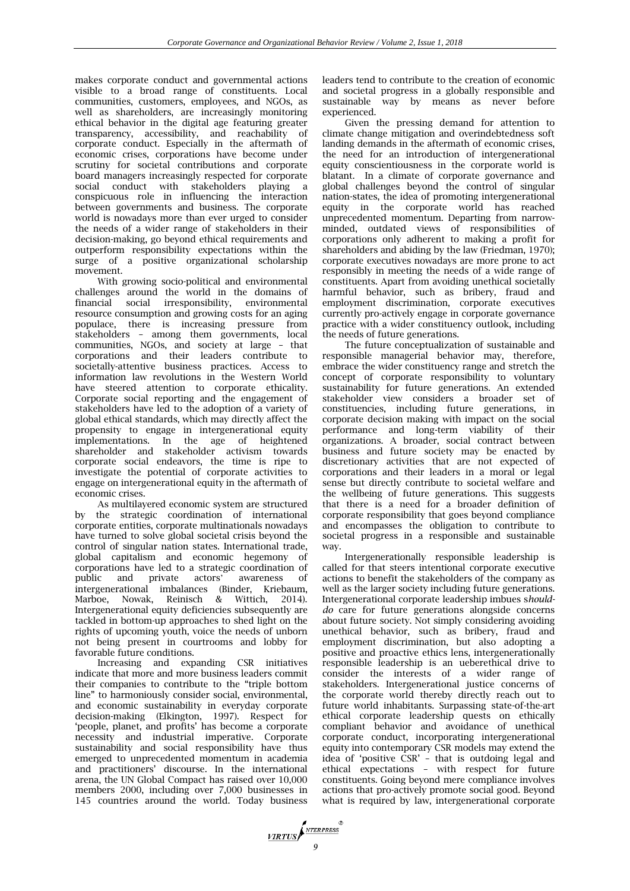makes corporate conduct and governmental actions visible to a broad range of constituents. Local communities, customers, employees, and NGOs, as well as shareholders, are increasingly monitoring ethical behavior in the digital age featuring greater transparency, accessibility, and reachability of corporate conduct. Especially in the aftermath of economic crises, corporations have become under scrutiny for societal contributions and corporate board managers increasingly respected for corporate social conduct with stakeholders playing a conspicuous role in influencing the interaction between governments and business. The corporate world is nowadays more than ever urged to consider the needs of a wider range of stakeholders in their decision-making, go beyond ethical requirements and outperform responsibility expectations within the surge of a positive organizational scholarship movement.

With growing socio-political and environmental challenges around the world in the domains of financial social irresponsibility, environmental resource consumption and growing costs for an aging populace, there is increasing pressure from stakeholders – among them governments, local communities, NGOs, and society at large – that corporations and their leaders contribute to societally-attentive business practices. Access to information law revolutions in the Western World have steered attention to corporate ethicality. Corporate social reporting and the engagement of stakeholders have led to the adoption of a variety of global ethical standards, which may directly affect the propensity to engage in intergenerational equity implementations. In the age of heightened shareholder and stakeholder activism towards corporate social endeavors, the time is ripe to investigate the potential of corporate activities to engage on intergenerational equity in the aftermath of economic crises.

As multilayered economic system are structured by the strategic coordination of international corporate entities, corporate multinationals nowadays have turned to solve global societal crisis beyond the control of singular nation states. International trade, global capitalism and economic hegemony of corporations have led to a strategic coordination of public and private actors' awareness intergenerational imbalances (Binder, Kriebaum, Marboe, Nowak, Reinisch & Wittich, 2014). Intergenerational equity deficiencies subsequently are tackled in bottom-up approaches to shed light on the rights of upcoming youth, voice the needs of unborn not being present in courtrooms and lobby for favorable future conditions.

Increasing and expanding CSR initiatives indicate that more and more business leaders commit their companies to contribute to the "triple bottom line" to harmoniously consider social, environmental, and economic sustainability in everyday corporate decision-making (Elkington, 1997). Respect for 'people, planet, and profits' has become a corporate necessity and industrial imperative. Corporate sustainability and social responsibility have thus emerged to unprecedented momentum in academia and practitioners' discourse. In the international arena, the UN Global Compact has raised over 10,000 members 2000, including over 7,000 businesses in 145 countries around the world. Today business

leaders tend to contribute to the creation of economic and societal progress in a globally responsible and sustainable way by means as never before experienced.

Given the pressing demand for attention to climate change mitigation and overindebtedness soft landing demands in the aftermath of economic crises, the need for an introduction of intergenerational equity conscientiousness in the corporate world is blatant. In a climate of corporate governance and global challenges beyond the control of singular nation-states, the idea of promoting intergenerational equity in the corporate world has reached unprecedented momentum. Departing from narrowminded, outdated views of responsibilities of corporations only adherent to making a profit for shareholders and abiding by the law (Friedman, 1970); corporate executives nowadays are more prone to act responsibly in meeting the needs of a wide range of constituents. Apart from avoiding unethical societally harmful behavior, such as bribery, fraud and employment discrimination, corporate executives currently pro-actively engage in corporate governance practice with a wider constituency outlook, including the needs of future generations.

The future conceptualization of sustainable and responsible managerial behavior may, therefore, embrace the wider constituency range and stretch the concept of corporate responsibility to voluntary sustainability for future generations. An extended stakeholder view considers a broader set of constituencies, including future generations, in corporate decision making with impact on the social performance and long-term viability of their organizations. A broader, social contract between business and future society may be enacted by discretionary activities that are not expected of corporations and their leaders in a moral or legal sense but directly contribute to societal welfare and the wellbeing of future generations. This suggests that there is a need for a broader definition of corporate responsibility that goes beyond compliance and encompasses the obligation to contribute to societal progress in a responsible and sustainable way.

Intergenerationally responsible leadership is called for that steers intentional corporate executive actions to benefit the stakeholders of the company as well as the larger society including future generations. Intergenerational corporate leadership imbues s*houlddo* care for future generations alongside concerns about future society. Not simply considering avoiding unethical behavior, such as bribery, fraud and employment discrimination, but also adopting a positive and proactive ethics lens, intergenerationally responsible leadership is an ueberethical drive to consider the interests of a wider range of stakeholders. Intergenerational justice concerns of the corporate world thereby directly reach out to future world inhabitants. Surpassing state-of-the-art ethical corporate leadership quests on ethically compliant behavior and avoidance of unethical corporate conduct, incorporating intergenerational equity into contemporary CSR models may extend the idea of 'positive CSR' – that is outdoing legal and ethical expectations – with respect for future constituents. Going beyond mere compliance involves actions that pro-actively promote social good. Beyond what is required by law, intergenerational corporate

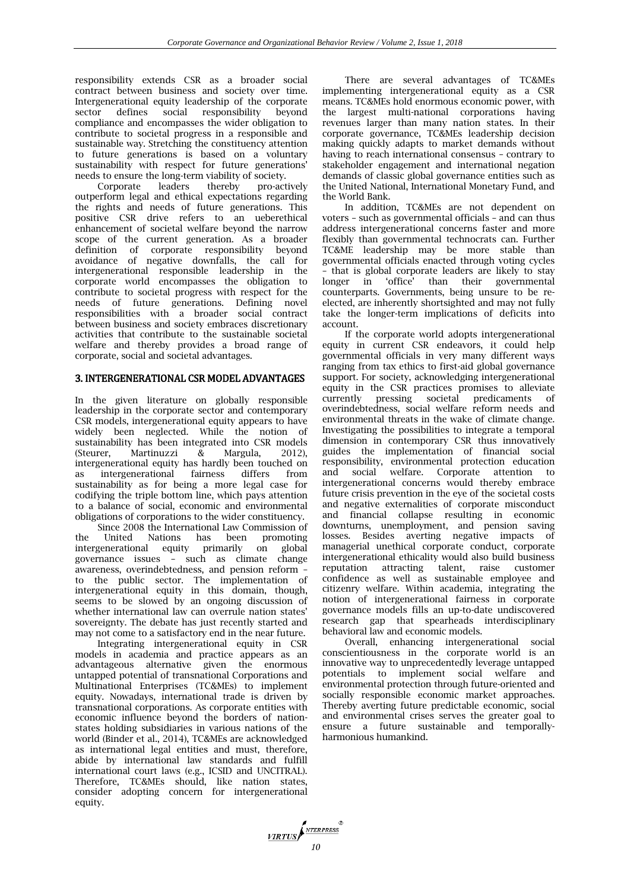responsibility extends CSR as a broader social contract between business and society over time. Intergenerational equity leadership of the corporate sector defines social responsibility beyond compliance and encompasses the wider obligation to contribute to societal progress in a responsible and sustainable way. Stretching the constituency attention to future generations is based on a voluntary sustainability with respect for future generations' needs to ensure the long-term viability of society.

Corporate leaders thereby pro-actively outperform legal and ethical expectations regarding the rights and needs of future generations. This positive CSR drive refers to an ueberethical enhancement of societal welfare beyond the narrow scope of the current generation. As a broader definition of corporate responsibility beyond avoidance of negative downfalls, the call for intergenerational responsible leadership in the corporate world encompasses the obligation to contribute to societal progress with respect for the needs of future generations. Defining novel responsibilities with a broader social contract between business and society embraces discretionary activities that contribute to the sustainable societal welfare and thereby provides a broad range of corporate, social and societal advantages.

#### 3. INTERGENERATIONAL CSR MODEL ADVANTAGES

In the given literature on globally responsible leadership in the corporate sector and contemporary CSR models, intergenerational equity appears to have widely been neglected. While the notion of sustainability has been integrated into CSR models (Steurer, Martinuzzi & Margula, 2012), intergenerational equity has hardly been touched on as intergenerational fairness differs from sustainability as for being a more legal case for codifying the triple bottom line, which pays attention to a balance of social, economic and environmental obligations of corporations to the wider constituency.

Since 2008 the International Law Commission of<br>United Nations has been promoting the United Nations has intergenerational equity primarily on global governance issues – such as climate change awareness, overindebtedness, and pension reform – to the public sector. The implementation of intergenerational equity in this domain, though, seems to be slowed by an ongoing discussion of whether international law can overrule nation states' sovereignty. The debate has just recently started and may not come to a satisfactory end in the near future.

Integrating intergenerational equity in CSR models in academia and practice appears as an advantageous alternative given the enormous untapped potential of transnational Corporations and Multinational Enterprises (TC&MEs) to implement equity. Nowadays, international trade is driven by transnational corporations. As corporate entities with economic influence beyond the borders of nationstates holding subsidiaries in various nations of the world (Binder et al., 2014), TC&MEs are acknowledged as international legal entities and must, therefore, abide by international law standards and fulfill international court laws (e.g., ICSID and UNCITRAL). Therefore, TC&MEs should, like nation states, consider adopting concern for intergenerational equity.

There are several advantages of TC&MEs implementing intergenerational equity as a CSR means. TC&MEs hold enormous economic power, with the largest multi-national corporations having revenues larger than many nation states. In their corporate governance, TC&MEs leadership decision making quickly adapts to market demands without having to reach international consensus – contrary to stakeholder engagement and international negation demands of classic global governance entities such as the United National, International Monetary Fund, and the World Bank.

In addition, TC&MEs are not dependent on voters – such as governmental officials – and can thus address intergenerational concerns faster and more flexibly than governmental technocrats can. Further TC&ME leadership may be more stable than governmental officials enacted through voting cycles – that is global corporate leaders are likely to stay longer in 'office' than their governmental counterparts. Governments, being unsure to be reelected, are inherently shortsighted and may not fully take the longer-term implications of deficits into account.

If the corporate world adopts intergenerational equity in current CSR endeavors, it could help governmental officials in very many different ways ranging from tax ethics to first-aid global governance support. For society, acknowledging intergenerational equity in the CSR practices promises to alleviate pressing societal predicaments of overindebtedness, social welfare reform needs and environmental threats in the wake of climate change. Investigating the possibilities to integrate a temporal dimension in contemporary CSR thus innovatively guides the implementation of financial social responsibility, environmental protection education and social welfare. Corporate attention to intergenerational concerns would thereby embrace future crisis prevention in the eye of the societal costs and negative externalities of corporate misconduct and financial collapse resulting in economic downturns, unemployment, and pension saving losses. Besides averting negative impacts of managerial unethical corporate conduct, corporate intergenerational ethicality would also build business reputation attracting talent, raise customer confidence as well as sustainable employee and citizenry welfare. Within academia, integrating the notion of intergenerational fairness in corporate governance models fills an up-to-date undiscovered research gap that spearheads interdisciplinary behavioral law and economic models.

Overall, enhancing intergenerational social conscientiousness in the corporate world is an innovative way to unprecedentedly leverage untapped potentials to implement social welfare and environmental protection through future-oriented and socially responsible economic market approaches. Thereby averting future predictable economic, social and environmental crises serves the greater goal to ensure a future sustainable and temporallyharmonious humankind.

**VIRTUS**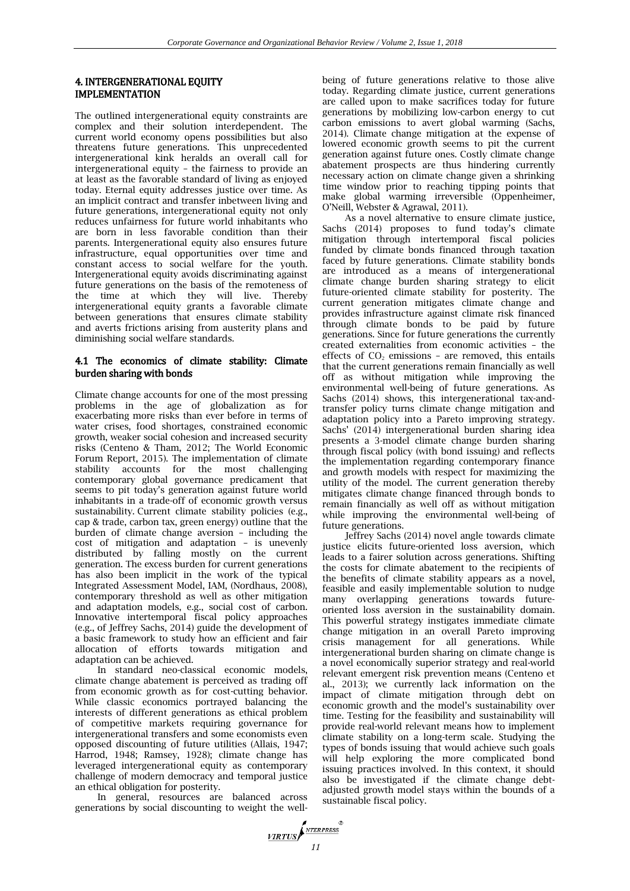#### 4. INTERGENERATIONAL EQUITY IMPLEMENTATION

The outlined intergenerational equity constraints are complex and their solution interdependent. The current world economy opens possibilities but also threatens future generations. This unprecedented intergenerational kink heralds an overall call for intergenerational equity – the fairness to provide an at least as the favorable standard of living as enjoyed today. Eternal equity addresses justice over time. As an implicit contract and transfer inbetween living and future generations, intergenerational equity not only reduces unfairness for future world inhabitants who are born in less favorable condition than their parents. Intergenerational equity also ensures future infrastructure, equal opportunities over time and constant access to social welfare for the youth. Intergenerational equity avoids discriminating against future generations on the basis of the remoteness of the time at which they will live. Thereby intergenerational equity grants a favorable climate between generations that ensures climate stability and averts frictions arising from austerity plans and diminishing social welfare standards.

#### 4.1 The economics of climate stability: Climate burden sharing with bonds

Climate change accounts for one of the most pressing problems in the age of globalization as for exacerbating more risks than ever before in terms of water crises, food shortages, constrained economic growth, weaker social cohesion and increased security risks (Centeno & Tham, 2012; The World Economic Forum Report, 2015). The implementation of climate stability accounts for the most challenging contemporary global governance predicament that seems to pit today's generation against future world inhabitants in a trade-off of economic growth versus sustainability. Current climate stability policies (e.g., cap & trade, carbon tax, green energy) outline that the burden of climate change aversion – including the cost of mitigation and adaptation – is unevenly distributed by falling mostly on the current generation. The excess burden for current generations has also been implicit in the work of the typical Integrated Assessment Model, IAM, (Nordhaus, 2008), contemporary threshold as well as other mitigation and adaptation models, e.g., social cost of carbon. Innovative intertemporal fiscal policy approaches (e.g., of Jeffrey Sachs, 2014) guide the development of a basic framework to study how an efficient and fair allocation of efforts towards mitigation and adaptation can be achieved.

In standard neo-classical economic models, climate change abatement is perceived as trading off from economic growth as for cost-cutting behavior. While classic economics portrayed balancing the interests of different generations as ethical problem of competitive markets requiring governance for intergenerational transfers and some economists even opposed discounting of future utilities (Allais, 1947; Harrod, 1948; Ramsey, 1928); climate change has leveraged intergenerational equity as contemporary challenge of modern democracy and temporal justice an ethical obligation for posterity.

In general, resources are balanced across generations by social discounting to weight the well-

**11RTUS** 

being of future generations relative to those alive today. Regarding climate justice, current generations are called upon to make sacrifices today for future generations by mobilizing low-carbon energy to cut carbon emissions to avert global warming (Sachs, 2014). Climate change mitigation at the expense of lowered economic growth seems to pit the current generation against future ones. Costly climate change abatement prospects are thus hindering currently necessary action on climate change given a shrinking time window prior to reaching tipping points that make global warming irreversible (Oppenheimer, O'Neill, Webster & Agrawal, 2011).

As a novel alternative to ensure climate justice, Sachs (2014) proposes to fund today's climate mitigation through intertemporal fiscal policies funded by climate bonds financed through taxation faced by future generations. Climate stability bonds are introduced as a means of intergenerational climate change burden sharing strategy to elicit future-oriented climate stability for posterity. The current generation mitigates climate change and provides infrastructure against climate risk financed through climate bonds to be paid by future generations. Since for future generations the currently created externalities from economic activities – the effects of  $CO<sub>2</sub>$  emissions - are removed, this entails that the current generations remain financially as well off as without mitigation while improving the environmental well-being of future generations. As Sachs (2014) shows, this intergenerational tax-andtransfer policy turns climate change mitigation and adaptation policy into a Pareto improving strategy. Sachs' (2014) intergenerational burden sharing idea presents a 3-model climate change burden sharing through fiscal policy (with bond issuing) and reflects the implementation regarding contemporary finance and growth models with respect for maximizing the utility of the model. The current generation thereby mitigates climate change financed through bonds to remain financially as well off as without mitigation while improving the environmental well-being of future generations.

Jeffrey Sachs (2014) novel angle towards climate justice elicits future-oriented loss aversion, which leads to a fairer solution across generations. Shifting the costs for climate abatement to the recipients of the benefits of climate stability appears as a novel, feasible and easily implementable solution to nudge many overlapping generations towards futureoriented loss aversion in the sustainability domain. This powerful strategy instigates immediate climate change mitigation in an overall Pareto improving crisis management for all generations. While intergenerational burden sharing on climate change is a novel economically superior strategy and real-world relevant emergent risk prevention means (Centeno et al., 2013); we currently lack information on the impact of climate mitigation through debt on economic growth and the model's sustainability over time. Testing for the feasibility and sustainability will provide real-world relevant means how to implement climate stability on a long-term scale. Studying the types of bonds issuing that would achieve such goals will help exploring the more complicated bond issuing practices involved. In this context, it should also be investigated if the climate change debtadjusted growth model stays within the bounds of a sustainable fiscal policy.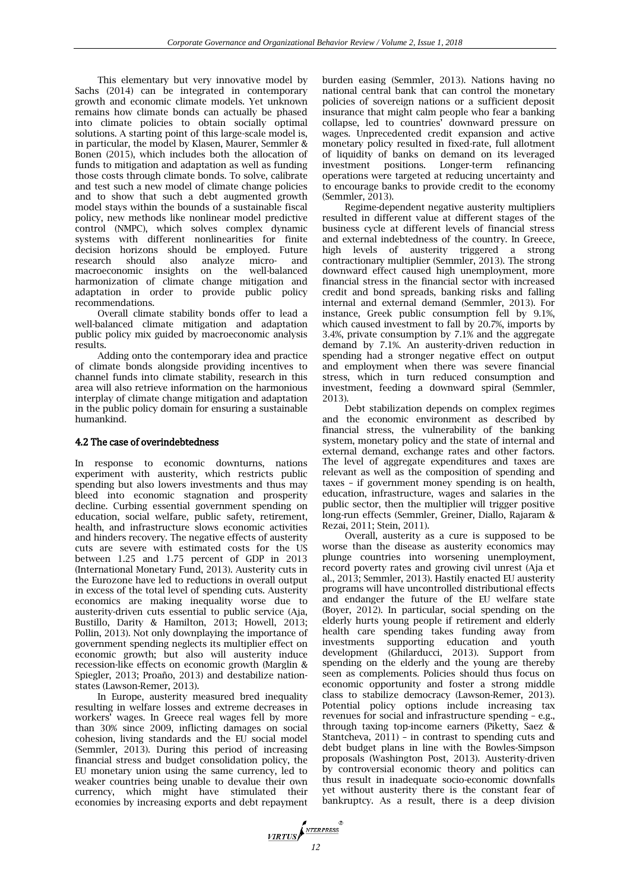This elementary but very innovative model by Sachs (2014) can be integrated in contemporary growth and economic climate models. Yet unknown remains how climate bonds can actually be phased into climate policies to obtain socially optimal solutions. A starting point of this large-scale model is, in particular, the model by Klasen, Maurer, Semmler & Bonen (2015), which includes both the allocation of funds to mitigation and adaptation as well as funding those costs through climate bonds. To solve, calibrate and test such a new model of climate change policies and to show that such a debt augmented growth model stays within the bounds of a sustainable fiscal policy, new methods like nonlinear model predictive control (NMPC), which solves complex dynamic systems with different nonlinearities for finite decision horizons should be employed. Future<br>research should also analyze micro- and analyze macroeconomic insights on the well-balanced harmonization of climate change mitigation and adaptation in order to provide public policy recommendations.

Overall climate stability bonds offer to lead a well-balanced climate mitigation and adaptation public policy mix guided by macroeconomic analysis results.

Adding onto the contemporary idea and practice of climate bonds alongside providing incentives to channel funds into climate stability, research in this area will also retrieve information on the harmonious interplay of climate change mitigation and adaptation in the public policy domain for ensuring a sustainable humankind.

#### 4.2 The case of overindebtedness

In response to economic downturns, nations experiment with austerity, which restricts public spending but also lowers investments and thus may bleed into economic stagnation and prosperity decline. Curbing essential government spending on education, social welfare, public safety, retirement, health, and infrastructure slows economic activities and hinders recovery. The negative effects of austerity cuts are severe with estimated costs for the US between 1.25 and 1.75 percent of GDP in 2013 (International Monetary Fund, 2013). Austerity cuts in the Eurozone have led to reductions in overall output in excess of the total level of spending cuts. Austerity economics are making inequality worse due to austerity-driven cuts essential to public service (Aja, Bustillo, Darity & Hamilton, 2013; Howell, 2013; Pollin, 2013). Not only downplaying the importance of government spending neglects its multiplier effect on economic growth; but also will austerity induce recession-like effects on economic growth (Marglin & Spiegler, 2013; Proaño, 2013) and destabilize nationstates (Lawson-Remer, 2013).

In Europe, austerity measured bred inequality resulting in welfare losses and extreme decreases in workers' wages. In Greece real wages fell by more than 30% since 2009, inflicting damages on social cohesion, living standards and the EU social model (Semmler, 2013). During this period of increasing financial stress and budget consolidation policy, the EU monetary union using the same currency, led to weaker countries being unable to devalue their own currency, which might have stimulated their economies by increasing exports and debt repayment

**122** MERPRESS

burden easing (Semmler, 2013). Nations having no national central bank that can control the monetary policies of sovereign nations or a sufficient deposit insurance that might calm people who fear a banking collapse, led to countries' downward pressure on wages. Unprecedented credit expansion and active monetary policy resulted in fixed-rate, full allotment of liquidity of banks on demand on its leveraged investment positions. Longer-term refinancing operations were targeted at reducing uncertainty and to encourage banks to provide credit to the economy (Semmler, 2013).

Regime-dependent negative austerity multipliers resulted in different value at different stages of the business cycle at different levels of financial stress and external indebtedness of the country. In Greece, high levels of austerity triggered a strong contractionary multiplier (Semmler, 2013). The strong downward effect caused high unemployment, more financial stress in the financial sector with increased credit and bond spreads, banking risks and falling internal and external demand (Semmler, 2013). For instance, Greek public consumption fell by 9.1%, which caused investment to fall by 20.7%, imports by 3.4%, private consumption by 7.1% and the aggregate demand by 7.1%. An austerity-driven reduction in spending had a stronger negative effect on output and employment when there was severe financial stress, which in turn reduced consumption and investment, feeding a downward spiral (Semmler, 2013).

Debt stabilization depends on complex regimes and the economic environment as described by financial stress, the vulnerability of the banking system, monetary policy and the state of internal and external demand, exchange rates and other factors. The level of aggregate expenditures and taxes are relevant as well as the composition of spending and taxes – if government money spending is on health, education, infrastructure, wages and salaries in the public sector, then the multiplier will trigger positive long-run effects (Semmler, Greiner, Diallo, Rajaram & Rezai, 2011; Stein, 2011).

Overall, austerity as a cure is supposed to be worse than the disease as austerity economics may plunge countries into worsening unemployment, record poverty rates and growing civil unrest (Aja et al., 2013; Semmler, 2013). Hastily enacted EU austerity programs will have uncontrolled distributional effects and endanger the future of the EU welfare state (Boyer, 2012). In particular, social spending on the elderly hurts young people if retirement and elderly health care spending takes funding away from supporting education and youth development (Ghilarducci, 2013). Support from spending on the elderly and the young are thereby seen as complements. Policies should thus focus on economic opportunity and foster a strong middle class to stabilize democracy (Lawson-Remer, 2013). Potential policy options include increasing tax revenues for social and infrastructure spending – e.g., through taxing top-income earners (Piketty, Saez & Stantcheva, 2011) – in contrast to spending cuts and debt budget plans in line with the Bowles-Simpson proposals (Washington Post, 2013). Austerity-driven by controversial economic theory and politics can thus result in inadequate socio-economic downfalls yet without austerity there is the constant fear of bankruptcy. As a result, there is a deep division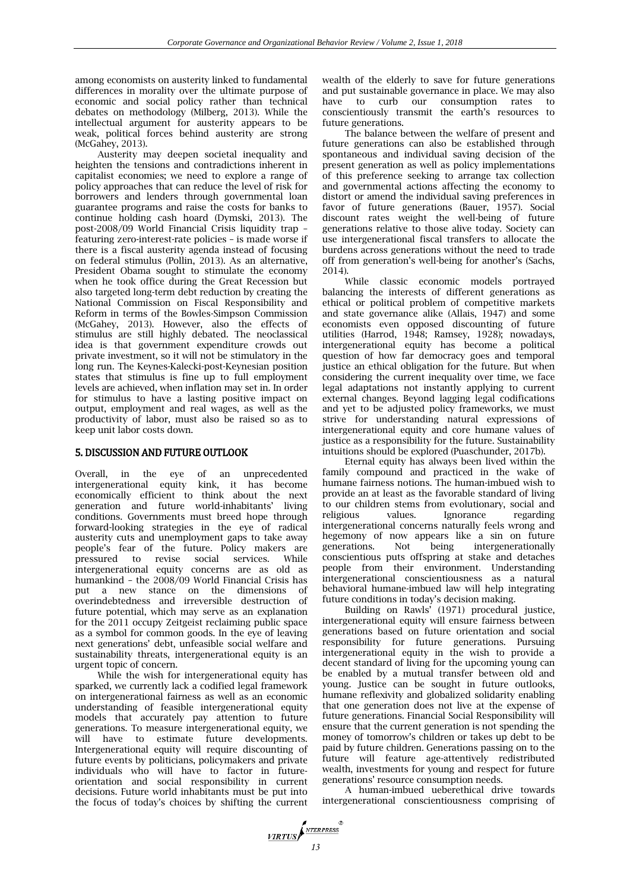among economists on austerity linked to fundamental differences in morality over the ultimate purpose of economic and social policy rather than technical debates on methodology (Milberg, 2013). While the intellectual argument for austerity appears to be weak, political forces behind austerity are strong (McGahey, 2013).

Austerity may deepen societal inequality and heighten the tensions and contradictions inherent in capitalist economies; we need to explore a range of policy approaches that can reduce the level of risk for borrowers and lenders through governmental loan guarantee programs and raise the costs for banks to continue holding cash hoard (Dymski, 2013). The post-2008/09 World Financial Crisis liquidity trap – featuring zero-interest-rate policies – is made worse if there is a fiscal austerity agenda instead of focusing on federal stimulus (Pollin, 2013). As an alternative, President Obama sought to stimulate the economy when he took office during the Great Recession but also targeted long-term debt reduction by creating the National Commission on Fiscal Responsibility and Reform in terms of the Bowles-Simpson Commission (McGahey, 2013). However, also the effects of stimulus are still highly debated. The neoclassical idea is that government expenditure crowds out private investment, so it will not be stimulatory in the long run. The Keynes-Kalecki-post-Keynesian position states that stimulus is fine up to full employment levels are achieved, when inflation may set in. In order for stimulus to have a lasting positive impact on output, employment and real wages, as well as the productivity of labor, must also be raised so as to keep unit labor costs down.

#### 5. DISCUSSION AND FUTURE OUTLOOK

Overall, in the eye of an unprecedented intergenerational equity kink, it has become economically efficient to think about the next generation and future world-inhabitants' conditions. Governments must breed hope through forward-looking strategies in the eye of radical austerity cuts and unemployment gaps to take away people's fear of the future. Policy makers are pressured to revise social services. While intergenerational equity concerns are as old as humankind – the 2008/09 World Financial Crisis has put a new stance on the dimensions of overindebtedness and irreversible destruction of future potential, which may serve as an explanation for the 2011 occupy Zeitgeist reclaiming public space as a symbol for common goods. In the eye of leaving next generations' debt, unfeasible social welfare and sustainability threats, intergenerational equity is an urgent topic of concern.

While the wish for intergenerational equity has sparked, we currently lack a codified legal framework on intergenerational fairness as well as an economic understanding of feasible intergenerational equity models that accurately pay attention to future generations. To measure intergenerational equity, we will have to estimate future developments. Intergenerational equity will require discounting of future events by politicians, policymakers and private individuals who will have to factor in futureorientation and social responsibility in current decisions. Future world inhabitants must be put into the focus of today's choices by shifting the current wealth of the elderly to save for future generations and put sustainable governance in place. We may also have to curb our consumption rates to conscientiously transmit the earth's resources to future generations.

The balance between the welfare of present and future generations can also be established through spontaneous and individual saving decision of the present generation as well as policy implementations of this preference seeking to arrange tax collection and governmental actions affecting the economy to distort or amend the individual saving preferences in favor of future generations (Bauer, 1957). Social discount rates weight the well-being of future generations relative to those alive today. Society can use intergenerational fiscal transfers to allocate the burdens across generations without the need to trade off from generation's well-being for another's (Sachs, 2014).

While classic economic models portrayed balancing the interests of different generations as ethical or political problem of competitive markets and state governance alike (Allais, 1947) and some economists even opposed discounting of future utilities (Harrod, 1948; Ramsey, 1928); nowadays, intergenerational equity has become a political question of how far democracy goes and temporal justice an ethical obligation for the future. But when considering the current inequality over time, we face legal adaptations not instantly applying to current external changes. Beyond lagging legal codifications and yet to be adjusted policy frameworks, we must strive for understanding natural expressions of intergenerational equity and core humane values of justice as a responsibility for the future. Sustainability intuitions should be explored (Puaschunder, 2017b).

Eternal equity has always been lived within the family compound and practiced in the wake of humane fairness notions. The human-imbued wish to provide an at least as the favorable standard of living to our children stems from evolutionary, social and<br>religious values. Ignorance regarding religious values. Ignorance regarding intergenerational concerns naturally feels wrong and hegemony of now appears like a sin on future generations. Not being intergenerationally conscientious puts offspring at stake and detaches people from their environment. Understanding intergenerational conscientiousness as a natural behavioral humane-imbued law will help integrating future conditions in today's decision making.

Building on Rawls' (1971) procedural justice, intergenerational equity will ensure fairness between generations based on future orientation and social responsibility for future generations. Pursuing intergenerational equity in the wish to provide a decent standard of living for the upcoming young can be enabled by a mutual transfer between old and young. Justice can be sought in future outlooks, humane reflexivity and globalized solidarity enabling that one generation does not live at the expense of future generations. Financial Social Responsibility will ensure that the current generation is not spending the money of tomorrow's children or takes up debt to be paid by future children. Generations passing on to the future will feature age-attentively redistributed wealth, investments for young and respect for future generations' resource consumption needs.

A human-imbued ueberethical drive towards intergenerational conscientiousness comprising of

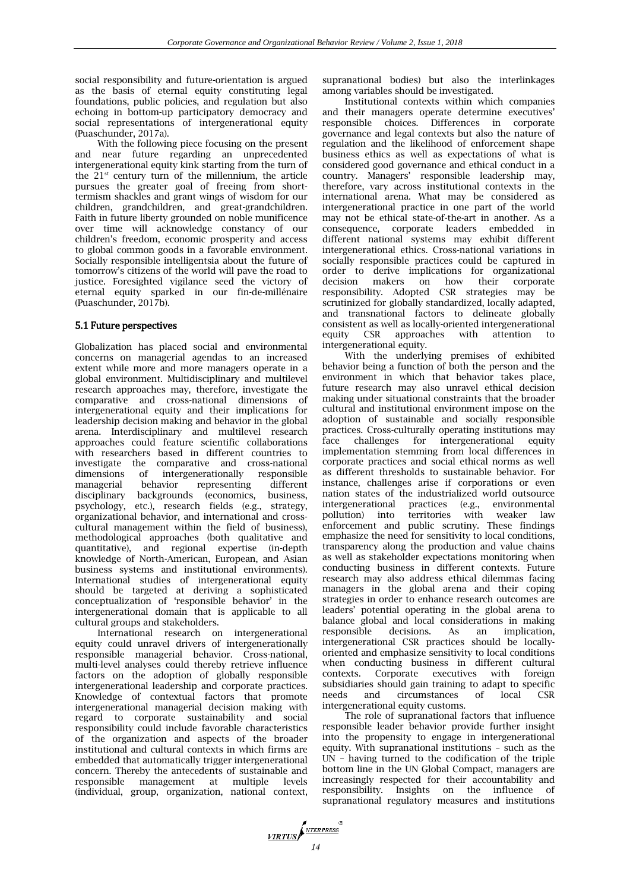social responsibility and future-orientation is argued as the basis of eternal equity constituting legal foundations, public policies, and regulation but also echoing in bottom-up participatory democracy and social representations of intergenerational equity (Puaschunder, 2017a).

With the following piece focusing on the present and near future regarding an unprecedented intergenerational equity kink starting from the turn of the  $21<sup>st</sup>$  century turn of the millennium, the article pursues the greater goal of freeing from shorttermism shackles and grant wings of wisdom for our children, grandchildren, and great-grandchildren. Faith in future liberty grounded on noble munificence over time will acknowledge constancy of our children's freedom, economic prosperity and access to global common goods in a favorable environment. Socially responsible intelligentsia about the future of tomorrow's citizens of the world will pave the road to justice. Foresighted vigilance seed the victory of eternal equity sparked in our fin-de-millénaire (Puaschunder, 2017b).

#### 5.1 Future perspectives

Globalization has placed social and environmental concerns on managerial agendas to an increased extent while more and more managers operate in a global environment. Multidisciplinary and multilevel research approaches may, therefore, investigate the comparative and cross-national dimensions of intergenerational equity and their implications for leadership decision making and behavior in the global arena. Interdisciplinary and multilevel research approaches could feature scientific collaborations with researchers based in different countries to investigate the comparative and cross-national dimensions of intergenerationally responsible managerial behavior representing different disciplinary backgrounds (economics, business, psychology, etc.), research fields (e.g., strategy, organizational behavior, and international and crosscultural management within the field of business), methodological approaches (both qualitative and quantitative), and regional expertise (in-depth knowledge of North-American, European, and Asian business systems and institutional environments). International studies of intergenerational equity should be targeted at deriving a sophisticated conceptualization of 'responsible behavior' in the intergenerational domain that is applicable to all cultural groups and stakeholders.

International research on intergenerational equity could unravel drivers of intergenerationally responsible managerial behavior. Cross-national, multi-level analyses could thereby retrieve influence factors on the adoption of globally responsible intergenerational leadership and corporate practices. Knowledge of contextual factors that promote intergenerational managerial decision making with regard to corporate sustainability and social responsibility could include favorable characteristics of the organization and aspects of the broader institutional and cultural contexts in which firms are embedded that automatically trigger intergenerational concern. Thereby the antecedents of sustainable and responsible management at multiple levels (individual, group, organization, national context,

supranational bodies) but also the interlinkages among variables should be investigated.

Institutional contexts within which companies and their managers operate determine executives' responsible choices. Differences in corporate governance and legal contexts but also the nature of regulation and the likelihood of enforcement shape business ethics as well as expectations of what is considered good governance and ethical conduct in a country. Managers' responsible leadership may, therefore, vary across institutional contexts in the international arena. What may be considered as intergenerational practice in one part of the world may not be ethical state-of-the-art in another. As a consequence, corporate leaders embedded in different national systems may exhibit different intergenerational ethics. Cross-national variations in socially responsible practices could be captured in order to derive implications for organizational decision makers on how their corporate responsibility. Adopted CSR strategies may be scrutinized for globally standardized, locally adapted, and transnational factors to delineate globally consistent as well as locally-oriented intergenerational equity CSR approaches with attention to intergenerational equity.

With the underlying premises of exhibited behavior being a function of both the person and the environment in which that behavior takes place, future research may also unravel ethical decision making under situational constraints that the broader cultural and institutional environment impose on the adoption of sustainable and socially responsible practices. Cross-culturally operating institutions may face challenges for intergenerational equity implementation stemming from local differences in corporate practices and social ethical norms as well as different thresholds to sustainable behavior. For instance, challenges arise if corporations or even nation states of the industrialized world outsource intergenerational practices (e.g., environmental<br>pollution) into territories with weaker law with weaker law enforcement and public scrutiny. These findings emphasize the need for sensitivity to local conditions, transparency along the production and value chains as well as stakeholder expectations monitoring when conducting business in different contexts. Future research may also address ethical dilemmas facing managers in the global arena and their coping strategies in order to enhance research outcomes are leaders' potential operating in the global arena to balance global and local considerations in making responsible decisions. As an implication, intergenerational CSR practices should be locallyoriented and emphasize sensitivity to local conditions when conducting business in different cultural contexts. Corporate executives with foreign subsidiaries should gain training to adapt to specific needs and circumstances of local CSR intergenerational equity customs.

The role of supranational factors that influence responsible leader behavior provide further insight into the propensity to engage in intergenerational equity. With supranational institutions – such as the UN – having turned to the codification of the triple bottom line in the UN Global Compact, managers are increasingly respected for their accountability and responsibility. Insights on the influence of supranational regulatory measures and institutions

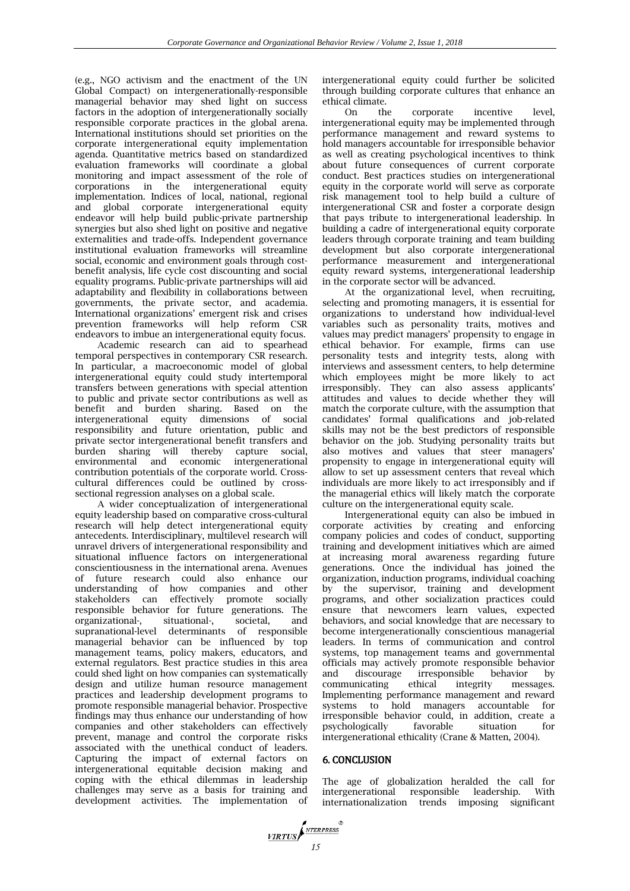(e.g., NGO activism and the enactment of the UN Global Compact) on intergenerationally-responsible managerial behavior may shed light on success factors in the adoption of intergenerationally socially responsible corporate practices in the global arena. International institutions should set priorities on the corporate intergenerational equity implementation agenda. Quantitative metrics based on standardized evaluation frameworks will coordinate a global monitoring and impact assessment of the role of corporations in the intergenerational equity implementation. Indices of local, national, regional and global corporate intergenerational equity endeavor will help build public-private partnership synergies but also shed light on positive and negative externalities and trade-offs. Independent governance institutional evaluation frameworks will streamline social, economic and environment goals through costbenefit analysis, life cycle cost discounting and social equality programs. Public-private partnerships will aid adaptability and flexibility in collaborations between governments, the private sector, and academia. International organizations' emergent risk and crises prevention frameworks will help reform CSR endeavors to imbue an intergenerational equity focus.

Academic research can aid to spearhead temporal perspectives in contemporary CSR research. In particular, a macroeconomic model of global intergenerational equity could study intertemporal transfers between generations with special attention to public and private sector contributions as well as benefit and burden sharing. Based on the intergenerational equity dimensions of social responsibility and future orientation, public and private sector intergenerational benefit transfers and burden sharing will thereby capture social, environmental and economic intergenerational contribution potentials of the corporate world. Crosscultural differences could be outlined by crosssectional regression analyses on a global scale.

A wider conceptualization of intergenerational equity leadership based on comparative cross-cultural research will help detect intergenerational equity antecedents. Interdisciplinary, multilevel research will unravel drivers of intergenerational responsibility and situational influence factors on intergenerational conscientiousness in the international arena. Avenues of future research could also enhance our understanding of how companies and other stakeholders can effectively promote socially responsible behavior for future generations. The organizational-, situational-, societal, and supranational-level determinants of responsible managerial behavior can be influenced by top management teams, policy makers, educators, and external regulators. Best practice studies in this area could shed light on how companies can systematically design and utilize human resource management practices and leadership development programs to promote responsible managerial behavior. Prospective findings may thus enhance our understanding of how companies and other stakeholders can effectively prevent, manage and control the corporate risks associated with the unethical conduct of leaders. Capturing the impact of external factors on intergenerational equitable decision making and coping with the ethical dilemmas in leadership challenges may serve as a basis for training and development activities. The implementation of

intergenerational equity could further be solicited through building corporate cultures that enhance an ethical climate.<br>On the

On the corporate incentive level, intergenerational equity may be implemented through performance management and reward systems to hold managers accountable for irresponsible behavior as well as creating psychological incentives to think about future consequences of current corporate conduct. Best practices studies on intergenerational equity in the corporate world will serve as corporate risk management tool to help build a culture of intergenerational CSR and foster a corporate design that pays tribute to intergenerational leadership. In building a cadre of intergenerational equity corporate leaders through corporate training and team building development but also corporate intergenerational performance measurement and intergenerational equity reward systems, intergenerational leadership in the corporate sector will be advanced.

At the organizational level, when recruiting, selecting and promoting managers, it is essential for organizations to understand how individual-level variables such as personality traits, motives and values may predict managers' propensity to engage in ethical behavior. For example, firms can use personality tests and integrity tests, along with interviews and assessment centers, to help determine which employees might be more likely to act irresponsibly. They can also assess applicants' attitudes and values to decide whether they will match the corporate culture, with the assumption that candidates' formal qualifications and job-related skills may not be the best predictors of responsible behavior on the job. Studying personality traits but also motives and values that steer managers' propensity to engage in intergenerational equity will allow to set up assessment centers that reveal which individuals are more likely to act irresponsibly and if the managerial ethics will likely match the corporate culture on the intergenerational equity scale.

Intergenerational equity can also be imbued in corporate activities by creating and enforcing company policies and codes of conduct, supporting training and development initiatives which are aimed at increasing moral awareness regarding future generations. Once the individual has joined the organization, induction programs, individual coaching by the supervisor, training and development programs, and other socialization practices could ensure that newcomers learn values, expected behaviors, and social knowledge that are necessary to become intergenerationally conscientious managerial leaders. In terms of communication and control systems, top management teams and governmental officials may actively promote responsible behavior and discourage irresponsible behavior by communicating ethical integrity messages. Implementing performance management and reward systems to hold managers accountable for irresponsible behavior could, in addition, create a psychologically favorable situation for intergenerational ethicality (Crane & Matten, 2004).

### 6. CONCLUSION

The age of globalization heralded the call for intergenerational responsible leadership. With internationalization trends imposing significant

**17RTUS**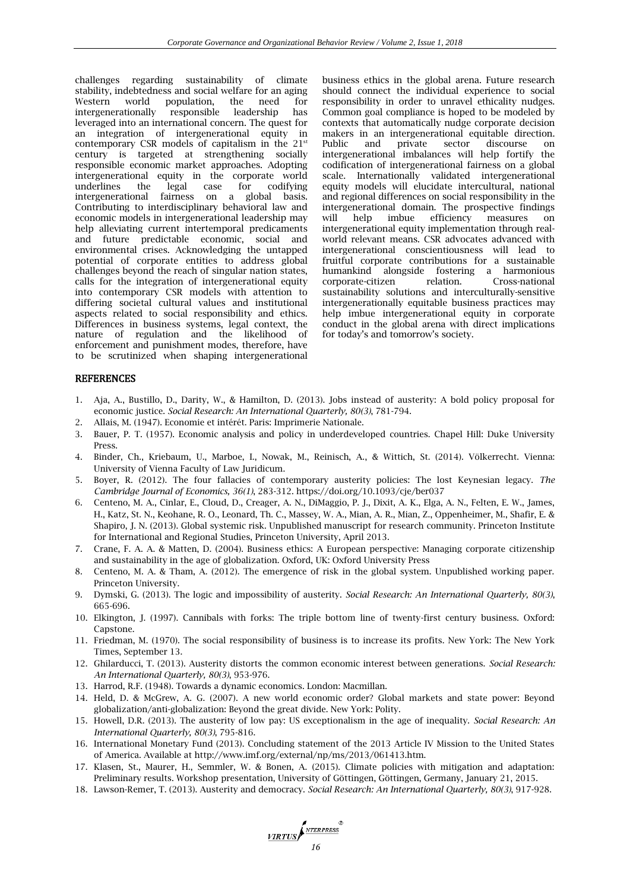challenges regarding sustainability of climate stability, indebtedness and social welfare for an aging Western world population, the need intergenerationally responsible leadership has leveraged into an international concern. The quest for an integration of intergenerational equity in contemporary CSR models of capitalism in the  $21^{st}$ century is targeted at strengthening socially responsible economic market approaches. Adopting intergenerational equity in the corporate world underlines the legal case for codifying intergenerational fairness on a global basis. Contributing to interdisciplinary behavioral law and economic models in intergenerational leadership may help alleviating current intertemporal predicaments and future predictable economic, social and environmental crises. Acknowledging the untapped potential of corporate entities to address global challenges beyond the reach of singular nation states, calls for the integration of intergenerational equity into contemporary CSR models with attention to differing societal cultural values and institutional aspects related to social responsibility and ethics. Differences in business systems, legal context, the nature of regulation and the likelihood of enforcement and punishment modes, therefore, have to be scrutinized when shaping intergenerational

business ethics in the global arena. Future research should connect the individual experience to social responsibility in order to unravel ethicality nudges. Common goal compliance is hoped to be modeled by contexts that automatically nudge corporate decision makers in an intergenerational equitable direction. Public and private sector discourse on intergenerational imbalances will help fortify the codification of intergenerational fairness on a global scale. Internationally validated intergenerational equity models will elucidate intercultural, national and regional differences on social responsibility in the intergenerational domain. The prospective findings will help imbue efficiency measures on intergenerational equity implementation through realworld relevant means. CSR advocates advanced with intergenerational conscientiousness will lead to fruitful corporate contributions for a sustainable humankind alongside fostering a harmonious corporate-citizen relation. Cross-national sustainability solutions and interculturally-sensitive intergenerationally equitable business practices may help imbue intergenerational equity in corporate conduct in the global arena with direct implications for today's and tomorrow's society.

#### **REFERENCES**

- 1. Aja, A., Bustillo, D., Darity, W., & Hamilton, D. (2013). Jobs instead of austerity: A bold policy proposal for economic justice. *Social Research: An International Quarterly, 80(3)*, 781-794.
- 2. Allais, M. (1947). Economie et intérét. Paris: Imprimerie Nationale.
- 3. Bauer, P. T. (1957). Economic analysis and policy in underdeveloped countries. Chapel Hill: Duke University Press.
- 4. Binder, Ch., Kriebaum, U., Marboe, I., Nowak, M., Reinisch, A., & Wittich, St. (2014). Völkerrecht. Vienna: University of Vienna Faculty of Law Juridicum.
- 5. Boyer, R. (2012). The four fallacies of contemporary austerity policies: The lost Keynesian legacy. *The Cambridge Journal of Economics, 36(1)*, 283-312. https://doi.org/10.1093/cje/ber037
- 6. Centeno, M. A., Cinlar, E., Cloud, D., Creager, A. N., DiMaggio, P. J., Dixit, A. K., Elga, A. N., Felten, E. W., James, H., Katz, St. N., Keohane, R. O., Leonard, Th. C., Massey, W. A., Mian, A. R., Mian, Z., Oppenheimer, M., Shafir, E. & Shapiro, J. N. (2013). Global systemic risk. Unpublished manuscript for research community. Princeton Institute for International and Regional Studies, Princeton University, April 2013.
- 7. Crane, F. A. A. & Matten, D. (2004). Business ethics: A European perspective: Managing corporate citizenship and sustainability in the age of globalization. Oxford, UK: Oxford University Press
- 8. Centeno, M. A. & Tham, A. (2012). The emergence of risk in the global system. Unpublished working paper. Princeton University.
- 9. Dymski, G. (2013). The logic and impossibility of austerity. *Social Research: An International Quarterly, 80(3)*, 665-696.
- 10. Elkington, J. (1997). Cannibals with forks: The triple bottom line of twenty-first century business. Oxford: Capstone.
- 11. Friedman, M. (1970). The social responsibility of business is to increase its profits. New York: The New York Times, September 13.
- 12. Ghilarducci, T. (2013). Austerity distorts the common economic interest between generations. *Social Research: An International Quarterly, 80(3)*, 953-976.
- 13. Harrod, R.F. (1948). Towards a dynamic economics. London: Macmillan.
- 14. Held, D. & McGrew, A. G. (2007). A new world economic order? Global markets and state power: Beyond globalization/anti-globalization: Beyond the great divide. New York: Polity.
- 15. Howell, D.R. (2013). The austerity of low pay: US exceptionalism in the age of inequality. *Social Research: An International Quarterly, 80(3)*, 795-816.
- 16. International Monetary Fund (2013). Concluding statement of the 2013 Article IV Mission to the United States of America. Available at http://www.imf.org/external/np/ms/2013/061413.htm.
- 17. Klasen, St., Maurer, H., Semmler, W. & Bonen, A. (2015). Climate policies with mitigation and adaptation: Preliminary results. Workshop presentation, University of Göttingen, Göttingen, Germany, January 21, 2015.
- 18. Lawson-Remer, T. (2013). Austerity and democracy. *Social Research: An International Quarterly, 80(3)*, 917-928.

*16*